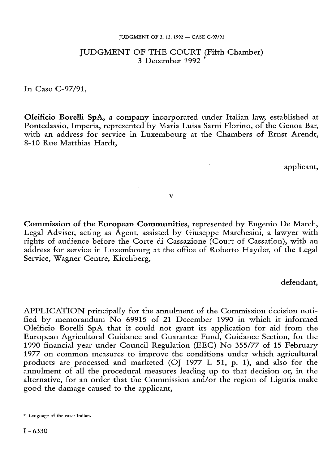#### JUDGMENT OF 3. 12. 1992 — CASE C-97/91

# JUDGMENT OF THE COURT (Fifth Chamber) <sup>3</sup> December <sup>1992</sup> \*

In Case C-97/91,

**Oleificio Borelli SpA,** a company incorporated under Italian law, established at Pontedassio, Imperia, represented by Maria Luisa Sarni Florino, of the Genoa Bar, with an address for service in Luxembourg at the Chambers of Ernst Arendt, 8-10 Rue Matthias Hardt,

applicant,

v

**Commission of the European Communities,** represented by Eugenio De March, Legal Adviser, acting as Agent, assisted by Giuseppe Marchesini, a lawyer with rights of audience before the Corte di Cassazione (Court of Cassation), with an address for service in Luxembourg at the office of Roberto Hayder, of the Legal Service, Wagner Centre, Kirchberg,

defendant,

APPLICATION principally for the annulment of the Commission decision notified by memorandum No 69915 of 21 December 1990 in which it informed Oleificio Borelli SpA that it could not grant its application for aid from the European Agricultural Guidance and Guarantee Fund, Guidance Section, for the 1990 financial year under Council Regulation (EEC) No 355/77 of 15 February 1977 on common measures to improve the conditions under which agricultural products are processed and marketed (OJ 1977 L 51, p. 1), and also for the annulment of all the procedural measures leading up to that decision or, in the alternative, for an order that the Commission and/or the region of Liguria make good the damage caused to the applicant,

<sup>\*</sup> Language of the case: Italian.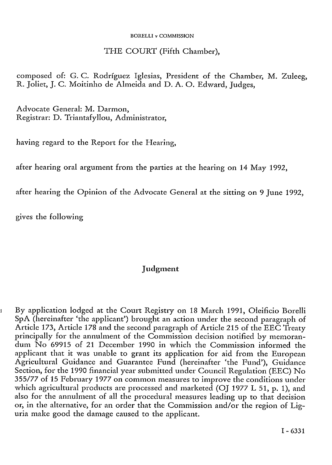### BORELLI v COMMISSION

### THE COURT (Fifth Chamber),

composed of: G. C. Rodríguez Iglesias, President of the Chamber, M. Zuleeg, R. Joliet, J. C. Moitinho de Almeida and D. A. O. Edward, Judges,

Advocate General: M. Darmon, Registrar: D. Triantafyllou, Administrator,

having regard to the Report for the Hearing,

after hearing oral argument from the parties at the hearing on 14 May 1992,

after hearing the Opinion of the Advocate General at the sitting on 9 June 1992,

gives the following

# Judgment

1 By application lodged at the Court Registiy on 18 March 1991, Oleificio Borelli SpA (hereinafter 'the applicant') brought an action under the second paragraph of Article 173, Article 178 and the second paragraph of Article 215 of the EEC Treaty principally for the annulment of the Commission decision notified by memorandum No 69915 of 21 December 1990 in which the Commission informed the applicant that it was unable to grant its application for aid from the European Agricultural Guidance and Guarantee Fund (hereinafter 'the Fund'), Guidance Section, for the 1990 financial year submitted under Council Regulation (EEC) No 355/77 of 15 February 1977 on common measures to improve the conditions under which agricultural products are processed and marketed (OJ 1977 L 51, p. 1), and also for the annulment of all the procedural measures leading up to that decision or, in the alternative, for an order that the Commission and/or the region of Liguria make good the damage caused to the applicant.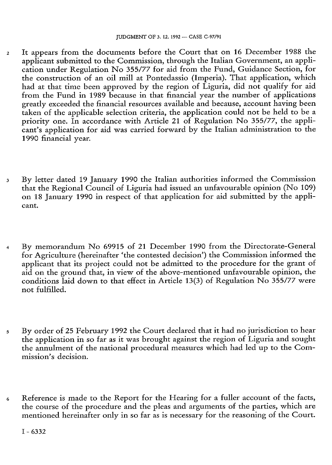- 2 It appears from the documents before the Court that on 16 December 1988 the applicant submitted to the Commission, through the Italian Government, an application under Regulation No 355/77 for aid from the Fund, Guidance Section, for the construction of an oil mill at Pontedassio (Imperia). That application, which had at that time been approved by the region of Liguria, did not qualify for aid from the Fund in 1989 because in that financial year the number of applications greatly exceeded the financial resources available and because, account having been taken of the applicable selection criteria, the application could not be held to be a priority one. In accordance with Article 21 of Regulation No 355/77, the applicant's application for aid was carried forward by the Italian administration to the 1990 financial year.
- 3 By letter dated 19 January 1990 the Italian authorities informed the Commission that the Regional Council of Liguria had issued an unfavourable opinion (No 109) on 18 January 1990 in respect of that application for aid submitted by the applicant.
- 4 By memorandum No 69915 of 21 December 1990 from the Directorate-General for Agriculture (hereinafter 'the contested decision') the Commission informed the applicant that its project could not be admitted to the procedure for the grant of aid on the ground that, in view of the above-mentioned unfavourable opinion, the conditions laid down to that effect in Article 13(3) of Regulation No 355/77 were not fulfilled.
- 5 By order of 25 February 1992 the Court declared that it had no jurisdiction to hear the application in so far as it was brought against the region of Liguria and sought the annulment of the national procedural measures which had led up to the Commission's decision.
- 6 Reference is made to the Report for the Hearing for a fuller account of the facts, the course of the procedure and the pleas and arguments of the parties, which are mentioned hereinafter only in so far as is necessary for the reasoning of the Court.

I - <sup>6332</sup>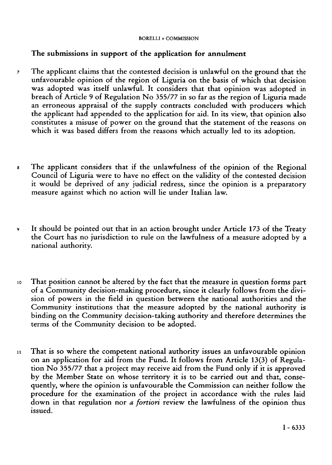### BORELLI v COMMISSION

## **The submissions in support of the application for annulment**

- 7 The applicant claims that the contested decision is unlawful on the ground that the unfavourable opinion of the region of Liguria on the basis of which that decision was adopted was itself unlawful. It considers that that opinion was adopted in breach of Article 9 of Regulation No 355/77 in so far as the region of Liguria made an erroneous appraisal of the supply contracts concluded with producers which the applicant had appended to the application for aid. In its view, that opinion also constitutes a misuse of power on the ground that the statement of the reasons on which it was based differs from the reasons which actually led to its adoption.
- <sup>s</sup> The applicant considers that if the unlawfulness of the opinion of the Regional Council of Liguria were to have no effect on the validity of the contested decision it would be deprived of any judicial redress, since the opinion is a preparatory measure against which no action will lie under Italian law.
- 9 It should be pointed out that in an action brought under Article 173 of the Treaty the Court has no jurisdiction to rule on the lawfulness of a measure adopted by a national authority.
- io That position cannot be altered by the fact that the measure in question forms part of <sup>a</sup> Community decision-making procedure, since it clearly follows from the division of powers in the field in question between the national authorities and the Community institutions that the measure adopted by the national authority is binding on the Community decision-taking authority and therefore determines the terms of the Community decision to be adopted.
- 11 That is so where the competent national authority issues an unfavourable opinion on an application for aid from the Fund. It follows from Article 13(3) of Regulation No 355/77 that <sup>a</sup> project may receive aid from the Fund only if it is approved by the Member State on whose territory it is to be carried out and that, consequently, where the opinion is unfavourable the Commission can neither follow the procedure for the examination of the project in accordance with the rules laid down in that regulation nor *a fortiori* review the lawfulness of the opinion thus issued.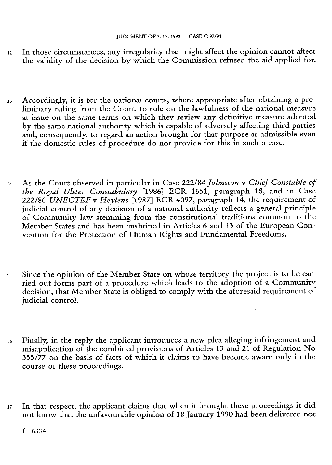- <sup>12</sup> In those circumstances, any irregularity that might affect the opinion cannot affect the validity of the decision by which the Commission refused the aid applied for.
- <sup>13</sup> Accordingly, it is for the national courts, where appropriate after obtaining <sup>a</sup> preliminary ruling from the Court, to rule on the lawfulness of the national measure at issue on the same terms on which they review any definitive measure adopted by the same national authority which is capable of adversely affecting third parties and, consequently, to regard an action brought for that purpose as admissible even if the domestic rules of procedure do not provide for this in such <sup>a</sup> case.
- 14 As the Court observed in particular in Case 222/84 *Johnston* v *Chief Constable of the Royal Ulster Constabulary* [1986] ECR 1651, paragraph 18, and in Case 222/86 *UNECTEF* v *Heylens* [1987] ECR 4097, paragraph 14, the requirement of judicial control of any decision of a national authority reflects a general principle of Community law stemming from the constitutional traditions common to the Member States and has been enshrined in Articles 6 and 13 of the European Convention for the Protection of Human Rights and Fundamental Freedoms.
- <sup>15</sup> Since the opinion of the Member State on whose territory the project is to be carried out forms part of a procedure which leads to the adoption of a Community decision, that Member State is obliged to comply with the aforesaid requirement of judicial control.
- 16 Finally, in the reply the applicant introduces <sup>a</sup> new plea alleging infringement and misapplication of the combined provisions of Articles 13 and 21 of Regulation No 355/77 on the basis of facts of which it claims to have become aware only in the course of these proceedings.
- <sup>17</sup> In that respect, the applicant claims that when it brought these proceedings it did not know that the unfavourable opinion of 18 January 1990 had been delivered not

I - <sup>6334</sup>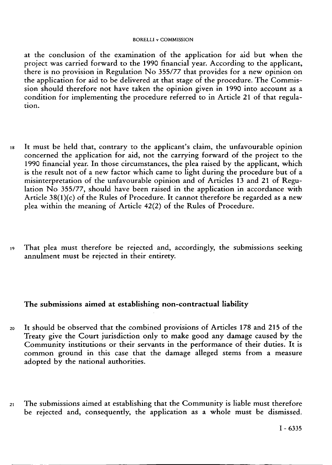#### BORELLI v COMMISSION

at the conclusion of the examination of the application for aid but when the project was carried forward to the 1990 financial year. According to the applicant, there is no provision in Regulation No 355/77 that provides for a new opinion on the application for aid to be delivered at that stage of the procedure. The Commission should therefore not have taken the opinion given in 1990 into account as a condition for implementing the procedure referred to in Article 21 of that regulation.

- is It must be held that, contrary to the applicant's claim, the unfavourable opinion concerned the application for aid, not the carrying forward of the project to the 1990 financial year. In those circumstances, the plea raised by the applicant, which is the result not of a new factor which came to light during the procedure but of a misinterpretation of the unfavourable opinion and of Articles 13 and 21 of Regulation  $N<sub>o</sub>$  355/77, should have been raised in the application in accordance with Article 38(l)(c) of the Rules of Procedure. It cannot therefore be regarded as <sup>a</sup> new plea within the meaning of Article 42(2) of the Rules of Procedure.
- i9 That plea must therefore be rejected and, accordingly, the submissions seeking annulment must be rejected in their entirety.

### **The submissions aimed at establishing non-contractual liability**

- <sup>20</sup> It should be observed that the combined provisions of Articles 178 and 215 of the Treaty give the Court jurisdiction only to make good any damage caused by the Community institutions or their servants in the performance of their duties. It is common ground in this case that the damage alleged stems from a measure adopted by the national authorities.
- 2i The submissions aimed at establishing that the Community is liable must therefore be rejected and, consequently, the application as a whole must be dismissed.